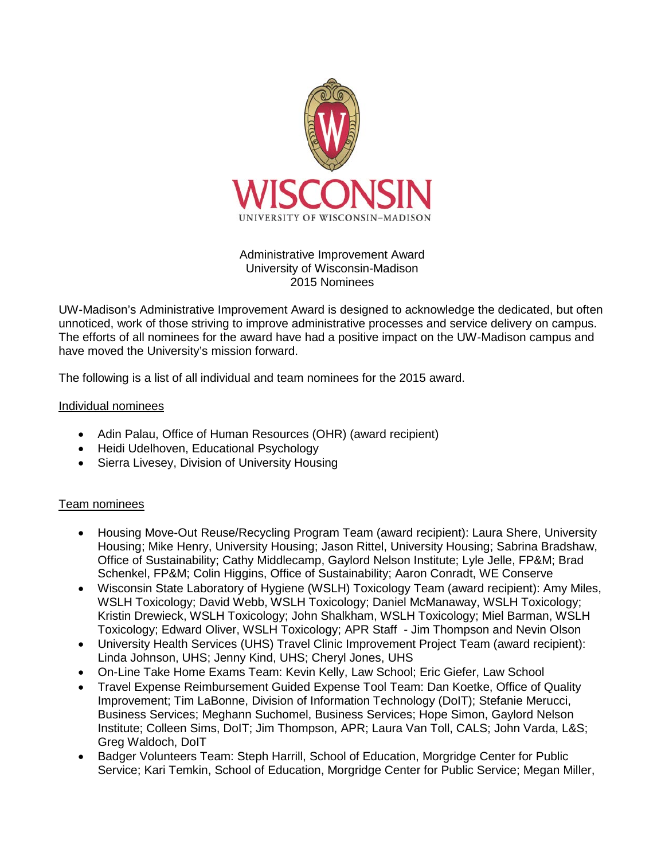

## Administrative Improvement Award University of Wisconsin-Madison 2015 Nominees

UW-Madison's Administrative Improvement Award is designed to acknowledge the dedicated, but often unnoticed, work of those striving to improve administrative processes and service delivery on campus. The efforts of all nominees for the award have had a positive impact on the UW-Madison campus and have moved the University's mission forward.

The following is a list of all individual and team nominees for the 2015 award.

## Individual nominees

- Adin Palau, Office of Human Resources (OHR) (award recipient)
- Heidi Udelhoven, Educational Psychology
- Sierra Livesey, Division of University Housing

## Team nominees

- Housing Move-Out Reuse/Recycling Program Team (award recipient): Laura Shere, University Housing; Mike Henry, University Housing; Jason Rittel, University Housing; Sabrina Bradshaw, Office of Sustainability; Cathy Middlecamp, Gaylord Nelson Institute; Lyle Jelle, FP&M; Brad Schenkel, FP&M; Colin Higgins, Office of Sustainability; Aaron Conradt, WE Conserve
- Wisconsin State Laboratory of Hygiene (WSLH) Toxicology Team (award recipient): Amy Miles, WSLH Toxicology; David Webb, WSLH Toxicology; Daniel McManaway, WSLH Toxicology; Kristin Drewieck, WSLH Toxicology; John Shalkham, WSLH Toxicology; Miel Barman, WSLH Toxicology; Edward Oliver, WSLH Toxicology; APR Staff - Jim Thompson and Nevin Olson
- University Health Services (UHS) Travel Clinic Improvement Project Team (award recipient): Linda Johnson, UHS; Jenny Kind, UHS; Cheryl Jones, UHS
- On-Line Take Home Exams Team: Kevin Kelly, Law School; Eric Giefer, Law School
- Travel Expense Reimbursement Guided Expense Tool Team: Dan Koetke, Office of Quality Improvement; Tim LaBonne, Division of Information Technology (DoIT); Stefanie Merucci, Business Services; Meghann Suchomel, Business Services; Hope Simon, Gaylord Nelson Institute; Colleen Sims, DoIT; Jim Thompson, APR; Laura Van Toll, CALS; John Varda, L&S; Greg Waldoch, DoIT
- Badger Volunteers Team: Steph Harrill, School of Education, Morgridge Center for Public Service; Kari Temkin, School of Education, Morgridge Center for Public Service; Megan Miller,